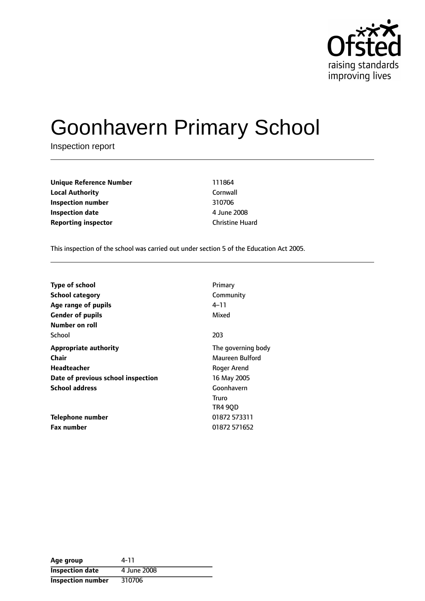

# Goonhavern Primary School

Inspection report

**Unique Reference Number** 111864 **Local Authority** Cornwall **Inspection number** 310706 **Inspection date** 4 June 2008 **Reporting inspector Christine Huard** 

This inspection of the school was carried out under section 5 of the Education Act 2005.

| <b>Type of school</b>              | Primary            |
|------------------------------------|--------------------|
| <b>School category</b>             | Community          |
| Age range of pupils                | 4–11               |
| <b>Gender of pupils</b>            | Mixed              |
| Number on roll                     |                    |
| School                             | 203                |
| <b>Appropriate authority</b>       | The governing body |
| Chair                              | Maureen Bulford    |
| Headteacher                        | Roger Arend        |
| Date of previous school inspection | 16 May 2005        |
| <b>School address</b>              | Goonhavern         |
|                                    | Truro              |
|                                    | TR4 90D            |
| <b>Telephone number</b>            | 01872 573311       |
| <b>Fax number</b>                  | 01872 571652       |

| Age group                | 4-11        |
|--------------------------|-------------|
| <b>Inspection date</b>   | 4 June 2008 |
| <b>Inspection number</b> | 310706      |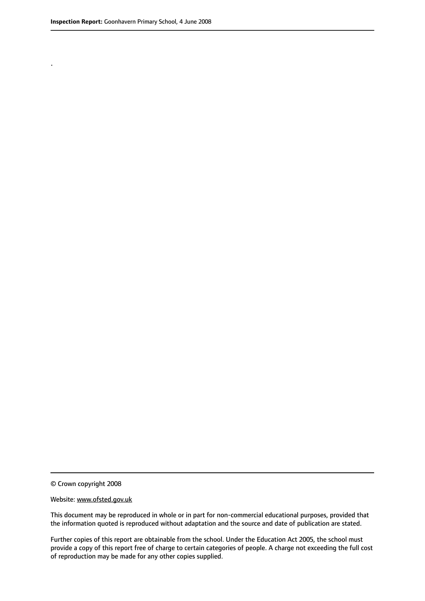.

© Crown copyright 2008

#### Website: www.ofsted.gov.uk

This document may be reproduced in whole or in part for non-commercial educational purposes, provided that the information quoted is reproduced without adaptation and the source and date of publication are stated.

Further copies of this report are obtainable from the school. Under the Education Act 2005, the school must provide a copy of this report free of charge to certain categories of people. A charge not exceeding the full cost of reproduction may be made for any other copies supplied.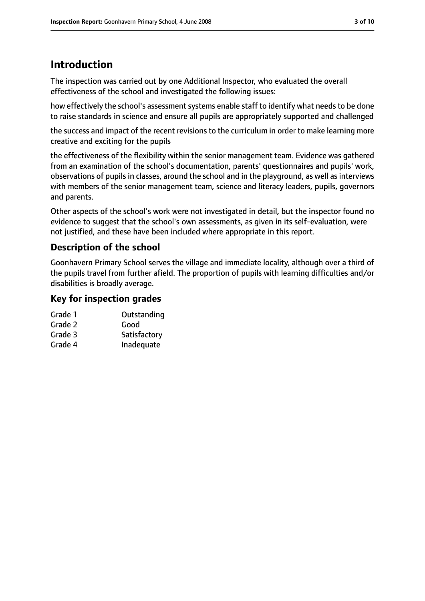## **Introduction**

The inspection was carried out by one Additional Inspector, who evaluated the overall effectiveness of the school and investigated the following issues:

how effectively the school's assessment systems enable staff to identify what needs to be done to raise standards in science and ensure all pupils are appropriately supported and challenged

the success and impact of the recent revisions to the curriculum in order to make learning more creative and exciting for the pupils

the effectiveness of the flexibility within the senior management team. Evidence was gathered from an examination of the school's documentation, parents' questionnaires and pupils' work, observations of pupils in classes, around the school and in the playground, as well as interviews with members of the senior management team, science and literacy leaders, pupils, governors and parents.

Other aspects of the school's work were not investigated in detail, but the inspector found no evidence to suggest that the school's own assessments, as given in its self-evaluation, were not justified, and these have been included where appropriate in this report.

### **Description of the school**

Goonhavern Primary School serves the village and immediate locality, although over a third of the pupils travel from further afield. The proportion of pupils with learning difficulties and/or disabilities is broadly average.

#### **Key for inspection grades**

| Grade 1 | Outstanding  |
|---------|--------------|
| Grade 2 | Good         |
| Grade 3 | Satisfactory |
| Grade 4 | Inadequate   |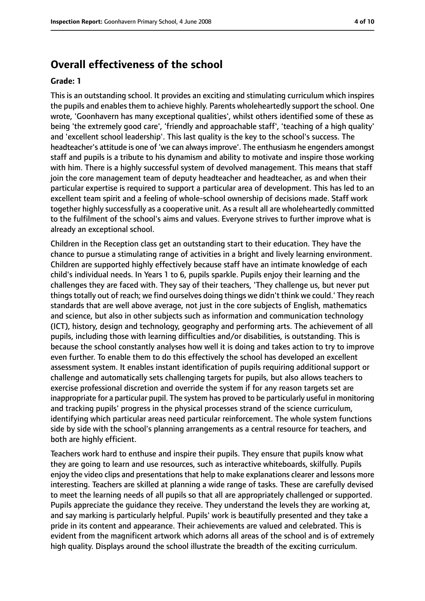## **Overall effectiveness of the school**

#### **Grade: 1**

This is an outstanding school. It provides an exciting and stimulating curriculum which inspires the pupils and enables them to achieve highly. Parents wholeheartedly support the school. One wrote, 'Goonhavern has many exceptional qualities', whilst others identified some of these as being 'the extremely good care', 'friendly and approachable staff', 'teaching of a high quality' and 'excellent school leadership'. This last quality is the key to the school's success. The headteacher's attitude is one of 'we can alwaysimprove'. The enthusiasm he engenders amongst staff and pupils is a tribute to his dynamism and ability to motivate and inspire those working with him. There is a highly successful system of devolved management. This means that staff join the core management team of deputy headteacher and headteacher, as and when their particular expertise is required to support a particular area of development. This has led to an excellent team spirit and a feeling of whole-school ownership of decisions made. Staff work together highly successfully as a cooperative unit. As a result all are wholeheartedly committed to the fulfilment of the school's aims and values. Everyone strives to further improve what is already an exceptional school.

Children in the Reception class get an outstanding start to their education. They have the chance to pursue a stimulating range of activities in a bright and lively learning environment. Children are supported highly effectively because staff have an intimate knowledge of each child's individual needs. In Years 1 to 6, pupils sparkle. Pupils enjoy their learning and the challenges they are faced with. They say of their teachers, 'They challenge us, but never put thingstotally out of reach; we find ourselves doing things we didn't think we could.' They reach standards that are well above average, not just in the core subjects of English, mathematics and science, but also in other subjects such as information and communication technology (ICT), history, design and technology, geography and performing arts. The achievement of all pupils, including those with learning difficulties and/or disabilities, is outstanding. This is because the school constantly analyses how well it is doing and takes action to try to improve even further. To enable them to do this effectively the school has developed an excellent assessment system. It enables instant identification of pupils requiring additional support or challenge and automatically sets challenging targets for pupils, but also allows teachers to exercise professional discretion and override the system if for any reason targets set are inappropriate for a particular pupil. The system has proved to be particularly useful in monitoring and tracking pupils' progress in the physical processes strand of the science curriculum, identifying which particular areas need particular reinforcement. The whole system functions side by side with the school's planning arrangements as a central resource for teachers, and both are highly efficient.

Teachers work hard to enthuse and inspire their pupils. They ensure that pupils know what they are going to learn and use resources, such as interactive whiteboards, skilfully. Pupils enjoy the video clips and presentations that help to make explanations clearer and lessons more interesting. Teachers are skilled at planning a wide range of tasks. These are carefully devised to meet the learning needs of all pupils so that all are appropriately challenged or supported. Pupils appreciate the guidance they receive. They understand the levels they are working at, and say marking is particularly helpful. Pupils' work is beautifully presented and they take a pride in its content and appearance. Their achievements are valued and celebrated. This is evident from the magnificent artwork which adorns all areas of the school and is of extremely high quality. Displays around the school illustrate the breadth of the exciting curriculum.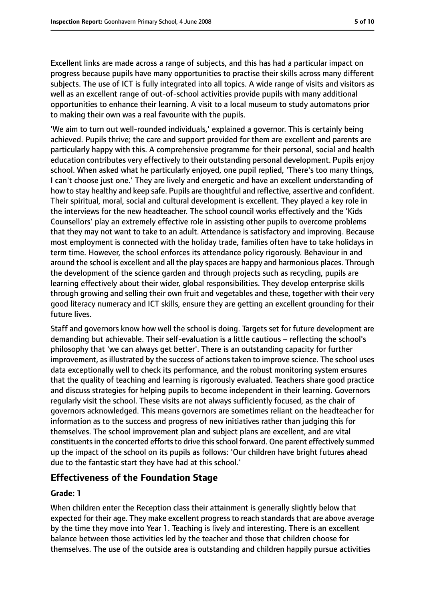Excellent links are made across a range of subjects, and this has had a particular impact on progress because pupils have many opportunities to practise their skills across many different subjects. The use of ICT is fully integrated into all topics. A wide range of visits and visitors as well as an excellent range of out-of-school activities provide pupils with many additional opportunities to enhance their learning. A visit to a local museum to study automatons prior to making their own was a real favourite with the pupils.

'We aim to turn out well-rounded individuals,' explained a governor. This is certainly being achieved. Pupils thrive; the care and support provided for them are excellent and parents are particularly happy with this. A comprehensive programme for their personal, social and health education contributes very effectively to their outstanding personal development. Pupils enjoy school. When asked what he particularly enjoyed, one pupil replied, 'There's too many things, I can't choose just one.' They are lively and energetic and have an excellent understanding of how to stay healthy and keep safe. Pupils are thoughtful and reflective, assertive and confident. Their spiritual, moral, social and cultural development is excellent. They played a key role in the interviews for the new headteacher. The school council works effectively and the 'Kids Counsellors' play an extremely effective role in assisting other pupils to overcome problems that they may not want to take to an adult. Attendance is satisfactory and improving. Because most employment is connected with the holiday trade, families often have to take holidays in term time. However, the school enforces its attendance policy rigorously. Behaviour in and around the school is excellent and all the play spaces are happy and harmonious places. Through the development of the science garden and through projects such as recycling, pupils are learning effectively about their wider, global responsibilities. They develop enterprise skills through growing and selling their own fruit and vegetables and these, together with their very good literacy numeracy and ICT skills, ensure they are getting an excellent grounding for their future lives.

Staff and governors know how well the school is doing. Targets set for future development are demanding but achievable. Their self-evaluation is a little cautious  $-$  reflecting the school's philosophy that 'we can always get better'. There is an outstanding capacity for further improvement, as illustrated by the success of actions taken to improve science. The school uses data exceptionally well to check its performance, and the robust monitoring system ensures that the quality of teaching and learning is rigorously evaluated. Teachers share good practice and discuss strategies for helping pupils to become independent in their learning. Governors regularly visit the school. These visits are not always sufficiently focused, as the chair of governors acknowledged. This means governors are sometimes reliant on the headteacher for information as to the success and progress of new initiatives rather than judging this for themselves. The school improvement plan and subject plans are excellent, and are vital constituents in the concerted efforts to drive this school forward. One parent effectively summed up the impact of the school on its pupils as follows: 'Our children have bright futures ahead due to the fantastic start they have had at this school.'

#### **Effectiveness of the Foundation Stage**

#### **Grade: 1**

When children enter the Reception class their attainment is generally slightly below that expected for their age. They make excellent progress to reach standards that are above average by the time they move into Year 1. Teaching is lively and interesting. There is an excellent balance between those activities led by the teacher and those that children choose for themselves. The use of the outside area is outstanding and children happily pursue activities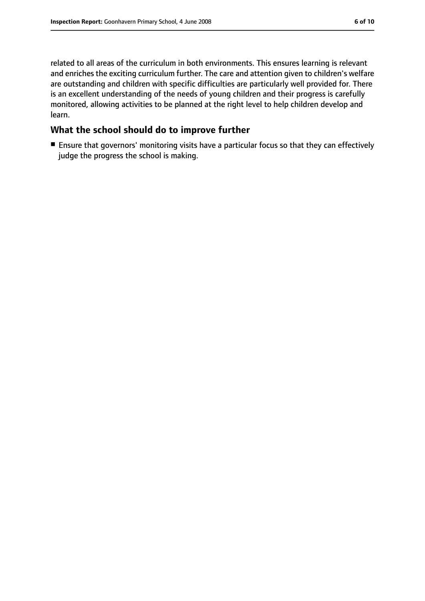related to all areas of the curriculum in both environments. This ensures learning is relevant and enriches the exciting curriculum further. The care and attention given to children's welfare are outstanding and children with specific difficulties are particularly well provided for. There is an excellent understanding of the needs of young children and their progress is carefully monitored, allowing activities to be planned at the right level to help children develop and learn.

#### **What the school should do to improve further**

■ Ensure that governors' monitoring visits have a particular focus so that they can effectively judge the progress the school is making.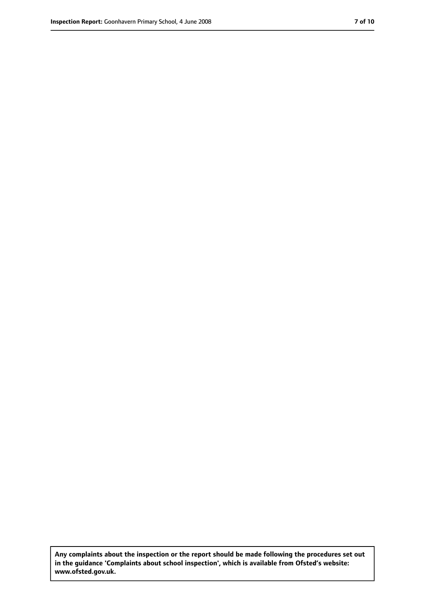**Any complaints about the inspection or the report should be made following the procedures set out in the guidance 'Complaints about school inspection', which is available from Ofsted's website: www.ofsted.gov.uk.**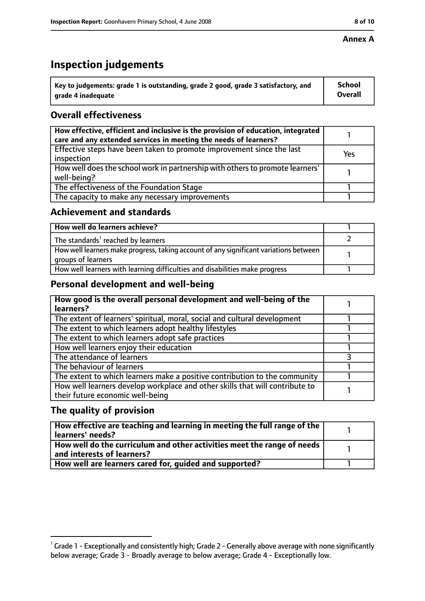#### **Annex A**

## **Inspection judgements**

| $^{\backprime}$ Key to judgements: grade 1 is outstanding, grade 2 good, grade 3 satisfactory, and | <b>School</b>  |
|----------------------------------------------------------------------------------------------------|----------------|
| arade 4 inadequate                                                                                 | <b>Overall</b> |

### **Overall effectiveness**

| How effective, efficient and inclusive is the provision of education, integrated<br>care and any extended services in meeting the needs of learners? |     |
|------------------------------------------------------------------------------------------------------------------------------------------------------|-----|
| Effective steps have been taken to promote improvement since the last<br>inspection                                                                  | Yes |
| How well does the school work in partnership with others to promote learners'<br>well-being?                                                         |     |
| The effectiveness of the Foundation Stage                                                                                                            |     |
| The capacity to make any necessary improvements                                                                                                      |     |

#### **Achievement and standards**

| How well do learners achieve?                                                                               |  |
|-------------------------------------------------------------------------------------------------------------|--|
| The standards <sup>1</sup> reached by learners                                                              |  |
| How well learners make progress, taking account of any significant variations between<br>groups of learners |  |
| How well learners with learning difficulties and disabilities make progress                                 |  |

#### **Personal development and well-being**

| How good is the overall personal development and well-being of the<br>learners?                                  |  |
|------------------------------------------------------------------------------------------------------------------|--|
| The extent of learners' spiritual, moral, social and cultural development                                        |  |
| The extent to which learners adopt healthy lifestyles                                                            |  |
| The extent to which learners adopt safe practices                                                                |  |
| How well learners enjoy their education                                                                          |  |
| The attendance of learners                                                                                       |  |
| The behaviour of learners                                                                                        |  |
| The extent to which learners make a positive contribution to the community                                       |  |
| How well learners develop workplace and other skills that will contribute to<br>their future economic well-being |  |

#### **The quality of provision**

| How effective are teaching and learning in meeting the full range of the<br>learners' needs?          |  |
|-------------------------------------------------------------------------------------------------------|--|
| How well do the curriculum and other activities meet the range of needs<br>and interests of learners? |  |
| How well are learners cared for, quided and supported?                                                |  |

 $^1$  Grade 1 - Exceptionally and consistently high; Grade 2 - Generally above average with none significantly below average; Grade 3 - Broadly average to below average; Grade 4 - Exceptionally low.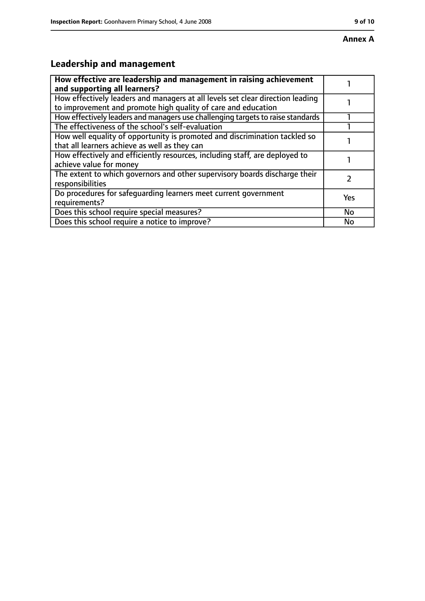# **Leadership and management**

| How effective are leadership and management in raising achievement<br>and supporting all learners?                                              |           |
|-------------------------------------------------------------------------------------------------------------------------------------------------|-----------|
| How effectively leaders and managers at all levels set clear direction leading<br>to improvement and promote high quality of care and education |           |
| How effectively leaders and managers use challenging targets to raise standards                                                                 |           |
| The effectiveness of the school's self-evaluation                                                                                               |           |
| How well equality of opportunity is promoted and discrimination tackled so<br>that all learners achieve as well as they can                     |           |
| How effectively and efficiently resources, including staff, are deployed to<br>achieve value for money                                          |           |
| The extent to which governors and other supervisory boards discharge their<br>responsibilities                                                  |           |
| Do procedures for safequarding learners meet current government<br>requirements?                                                                | Yes       |
| Does this school require special measures?                                                                                                      | <b>No</b> |
| Does this school require a notice to improve?                                                                                                   | No        |